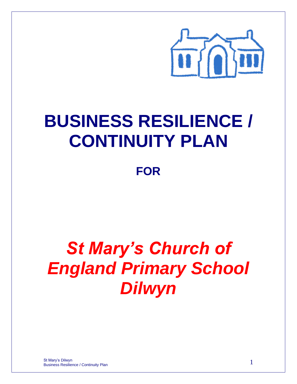

## **BUSINESS RESILIENCE / CONTINUITY PLAN**

**FOR**

# *St Mary's Church of England Primary School Dilwyn*

St Mary's Dilwyn Business Resilience / Continuity Plan 1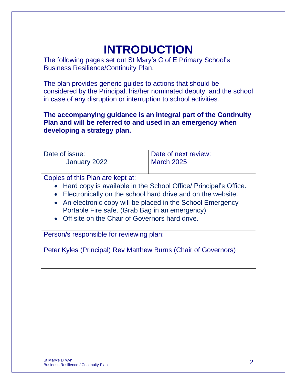## **INTRODUCTION**

The following pages set out St Mary's C of E Primary School's Business Resilience/Continuity Plan.

The plan provides generic guides to actions that should be considered by the Principal, his/her nominated deputy, and the school in case of any disruption or interruption to school activities.

**The accompanying guidance is an integral part of the Continuity Plan and will be referred to and used in an emergency when developing a strategy plan.**

| Date of issue:<br>January 2022                                                                                                                                                                                                                                                                                                               | Date of next review:<br><b>March 2025</b> |
|----------------------------------------------------------------------------------------------------------------------------------------------------------------------------------------------------------------------------------------------------------------------------------------------------------------------------------------------|-------------------------------------------|
| Copies of this Plan are kept at:<br>• Hard copy is available in the School Office/ Principal's Office.<br>• Electronically on the school hard drive and on the website.<br>• An electronic copy will be placed in the School Emergency<br>Portable Fire safe. (Grab Bag in an emergency)<br>• Off site on the Chair of Governors hard drive. |                                           |
| Person/s responsible for reviewing plan:<br>Peter Kyles (Principal) Rev Matthew Burns (Chair of Governors)                                                                                                                                                                                                                                   |                                           |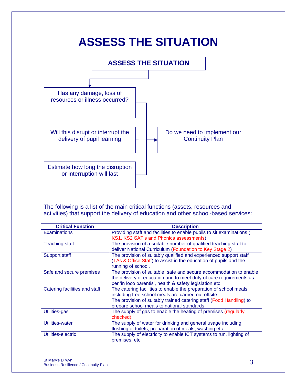

The following is a list of the main critical functions (assets, resources and activities) that support the delivery of education and other school-based services:

| <b>Critical Function</b>      | <b>Description</b>                                                    |
|-------------------------------|-----------------------------------------------------------------------|
| <b>Examinations</b>           | Providing staff and facilities to enable pupils to sit examinations ( |
|                               | KS1, KS2 SAT's and Phonics assessments)                               |
| <b>Teaching staff</b>         | The provision of a suitable number of qualified teaching staff to     |
|                               | deliver National Curriculum (Foundation to Key Stage 2)               |
| Support staff                 | The provision of suitably qualified and experienced support staff     |
|                               | (TAs & Office Staff) to assist in the education of pupils and the     |
|                               | running of school.                                                    |
| Safe and secure premises      | The provision of suitable, safe and secure accommodation to enable    |
|                               | the delivery of education and to meet duty of care requirements as    |
|                               | per 'in loco parentis', health & safety legislation etc               |
| Catering facilities and staff | The catering facilities to enable the preparation of school meals     |
|                               | including free school meals are carried out offsite.                  |
|                               | The provision of suitably trained catering staff (Food Handling) to   |
|                               | prepare school meals to national standards                            |
| Utilities-gas                 | The supply of gas to enable the heating of premises (regularly        |
|                               | checked).                                                             |
| Utilities-water               | The supply of water for drinking and general usage including          |
|                               | flushing of toilets, preparation of meals, washing etc                |
| Utilities-electric            | The supply of electricity to enable ICT systems to run, lighting of   |
|                               | premises, etc                                                         |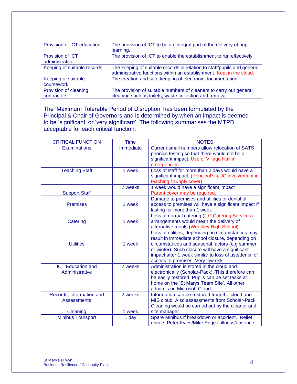| Provision of ICT education           | The provision of ICT to be an integral part of the delivery of pupil<br>learning.                                                               |
|--------------------------------------|-------------------------------------------------------------------------------------------------------------------------------------------------|
| Provision of ICT<br>administrative   | The provision of ICT to enable the establishment to run effectively                                                                             |
| Keeping of suitable records          | The keeping of suitable records in relation to staff/pupils and general<br>administrative functions within an establishment. Kept in the cloud. |
| Keeping of suitable<br>coursework    | The creation and safe keeping of electronic documentation                                                                                       |
| Provision of cleaning<br>contractors | The provision of suitable numbers of cleaners to carry out general<br>cleaning such as toilets, waste collection and removal                    |

The 'Maximum Tolerable Period of Disruption' has been formulated by the Principal & Chair of Governors and is determined by when an impact is deemed to be 'significant' or 'very significant'. The following summarises the MTPD acceptable for each critical function:

| <b>CRITICAL FUNCTION</b> | <b>Time</b> | <b>NOTES</b>                                         |
|--------------------------|-------------|------------------------------------------------------|
| <b>Examinations</b>      | Immediate   | Current small numbers allow relocation of SATS       |
|                          |             | phonics testing so that there would not be a         |
|                          |             | significant impact. Use of Village Hall in           |
|                          |             | emergencies.                                         |
| <b>Teaching Staff</b>    | 1 week      | Loss of staff for more than 2 days would have a      |
|                          |             | significant impact. (Principal's & JC involvement in |
|                          |             | teaching / supply cover)                             |
|                          | 2 weeks     | 1 week would have a significant impact               |
| <b>Support Staff</b>     |             | Parent cover may be required.                        |
|                          |             | Damage to premises and utilities or denial of        |
| <b>Premises</b>          | 1 week      | access to premises will have a significant impact if |
|                          |             | lasting for more than 1 week                         |
|                          |             | Loss of normal catering (J C Catering Services)      |
| Catering                 | 1 week      | arrangements would mean the delivery of              |
|                          |             | alternative meals (Weobley High School).             |
|                          |             | Loss of utilities, depending on circumstances may    |
|                          |             | result in immediate school closure, depending on     |
| <b>Utilities</b>         | 1 week      | circumstances and seasonal factors (e.g summer       |
|                          |             | or winter). Such closure will have a significant     |
|                          |             | impact after 1 week similar to loss of use/denial of |
|                          |             | access to premises. Very low risk.                   |
| <b>ICT Education and</b> | 2 weeks     | Administration is stored in the cloud and            |
| Administrative           |             | electronically (Scholar-Pack). This therefore can    |
|                          |             | be easily restored. Pupils can be set tasks at       |
|                          |             | home on the 'St Marys Team Site'. All other          |
|                          |             | admin is on Microsoft Cloud.                         |
| Records, Information and | 2 weeks     | Information can be restored from the cloud and       |
| <b>Assessments</b>       |             | MIS cloud. Also assessments from Scholar-Pack.       |
|                          |             | Cleaning would be carried out by the cleaner and     |
| Cleaning                 | 1 week      | site manager.                                        |
| <b>Minibus Transport</b> | 1 day       | Spare Minibus if breakdown or accident. Relief       |
|                          |             | drivers Peter Kyles/Mike Edge if illness/absence.    |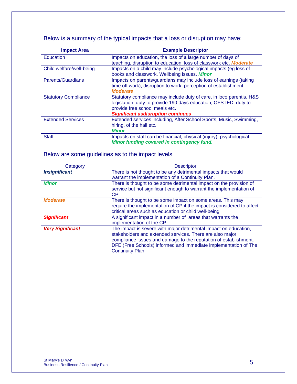Below is a summary of the typical impacts that a loss or disruption may have:

| <b>Impact Area</b>          | <b>Example Descriptor</b>                                                                                                                                                                                               |
|-----------------------------|-------------------------------------------------------------------------------------------------------------------------------------------------------------------------------------------------------------------------|
| <b>Education</b>            | Impacts on education, the loss of a large number of days of<br>teaching, disruption to education, loss of classwork etc. Moderate                                                                                       |
| Child welfare/well-being    | Impacts on a child may include psychological impacts (eg loss of<br>books and classwork. Wellbeing issues. Minor                                                                                                        |
| Parents/Guardians           | Impacts on parents/guardians may include loss of earnings (taking<br>time off work), disruption to work, perception of establishment,<br><b>Moderate</b>                                                                |
| <b>Statutory Compliance</b> | Statutory compliance may include duty of care, in loco parentis, H&S<br>legislation, duty to provide 190 days education, OFSTED, duty to<br>provide free school meals etc.<br><b>Significant asdisruption continues</b> |
| <b>Extended Services</b>    | Extended services including, After School Sports, Music, Swimming,<br>hiring, of the hall etc.<br><b>Minor</b>                                                                                                          |
| <b>Staff</b>                | Impacts on staff can be financial, physical (injury), psychological<br>Minor funding covered in contingency fund.                                                                                                       |

#### Below are some guidelines as to the impact levels

| Category                | <b>Descriptor</b>                                                                                                                                                                                                                                                                             |
|-------------------------|-----------------------------------------------------------------------------------------------------------------------------------------------------------------------------------------------------------------------------------------------------------------------------------------------|
| <b>Insignificant</b>    | There is not thought to be any detrimental impacts that would<br>warrant the implementation of a Continuity Plan.                                                                                                                                                                             |
| <b>Minor</b>            | There is thought to be some detrimental impact on the provision of<br>service but not significant enough to warrant the implementation of<br><b>CP</b>                                                                                                                                        |
| <b>Moderate</b>         | There is thought to be some impact on some areas. This may<br>require the implementation of CP if the impact is considered to affect<br>critical areas such as education or child well-being                                                                                                  |
| <b>Significant</b>      | A significant impact in a number of areas that warrants the<br>implementation of the CP                                                                                                                                                                                                       |
| <b>Very Significant</b> | The impact is severe with major detrimental impact on education,<br>stakeholders and extended services. There are also major<br>compliance issues and damage to the reputation of establishment.<br>DFE (Free Schools) informed and immediate implementation of The<br><b>Continuity Plan</b> |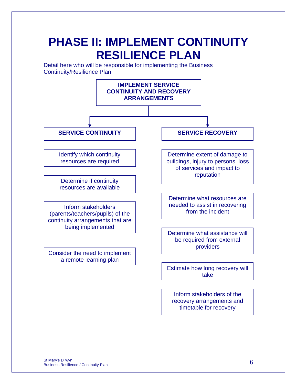### **PHASE II: IMPLEMENT CONTINUITY RESILIENCE PLAN**

Detail here who will be responsible for implementing the Business Continuity/Resilience Plan

![](_page_5_Figure_2.jpeg)

timetable for recovery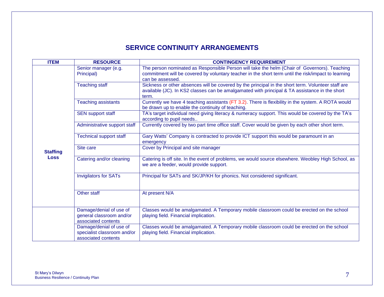### **SERVICE CONTINUITY ARRANGEMENTS**

| <b>ITEM</b>     | <b>RESOURCE</b>                                                               | <b>CONTINGENCY REQUIREMENT</b>                                                                                                                                                                                          |  |
|-----------------|-------------------------------------------------------------------------------|-------------------------------------------------------------------------------------------------------------------------------------------------------------------------------------------------------------------------|--|
|                 | Senior manager (e.g.<br>Principal)                                            | The person nominated as Responsible Person will take the helm (Chair of Governors). Teaching<br>commitment will be covered by voluntary teacher in the short term until the risk/impact to learning<br>can be assessed. |  |
|                 | <b>Teaching staff</b>                                                         | Sickness or other absences will be covered by the principal in the short term. Volunteer staff are<br>available (JC). In KS2 classes can be amalgamated with principal & TA assistance in the short<br>term.            |  |
|                 | <b>Teaching assistants</b>                                                    | Currently we have 4 teaching assistants (FT 3.2). There is flexibility in the system. A ROTA would<br>be drawn up to enable the continuity of teaching.                                                                 |  |
|                 | <b>SEN support staff</b>                                                      | TA's target individual need giving literacy & numeracy support. This would be covered by the TA's<br>according to pupil needs                                                                                           |  |
|                 | Administrative support staff                                                  | Currently covered by two part time office staff. Cover would be given by each other short term.                                                                                                                         |  |
|                 | <b>Technical support staff</b>                                                | Gary Watts' Company is contracted to provide ICT support this would be paramount in an<br>emergency                                                                                                                     |  |
| <b>Staffing</b> | Site care                                                                     | Cover by Principal and site manager                                                                                                                                                                                     |  |
| <b>Loss</b>     | Catering and/or cleaning                                                      | Catering is off site. In the event of problems, we would source elsewhere. Weobley High School, as<br>we are a feeder, would provide support.                                                                           |  |
|                 | <b>Invigilators for SATs</b>                                                  | Principal for SATs and SK/JP/KH for phonics. Not considered significant.                                                                                                                                                |  |
|                 | Other staff                                                                   | At present N/A                                                                                                                                                                                                          |  |
|                 | Damage/denial of use of<br>general classroom and/or<br>associated contents    | Classes would be amalgamated. A Temporary mobile classroom could be erected on the school<br>playing field. Financial implication.                                                                                      |  |
|                 | Damage/denial of use of<br>specialist classroom and/or<br>associated contents | Classes would be amalgamated. A Temporary mobile classroom could be erected on the school<br>playing field. Financial implication.                                                                                      |  |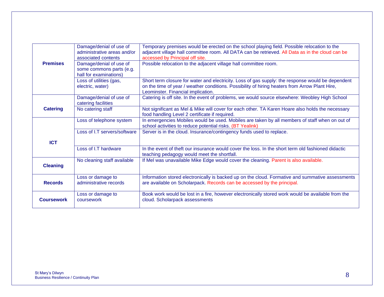|                   | Damage/denial of use of                        | Temporary premises would be erected on the school playing field. Possible relocation to the                                                        |
|-------------------|------------------------------------------------|----------------------------------------------------------------------------------------------------------------------------------------------------|
|                   | administrative areas and/or                    | adjacent village hall committee room. All DATA can be retrieved. All Data as in the cloud can be                                                   |
|                   | associated contents                            | accessed by Principal off site.                                                                                                                    |
| <b>Premises</b>   | Damage/denial of use of                        | Possible relocation to the adjacent village hall committee room.                                                                                   |
|                   | some commons parts (e.g.                       |                                                                                                                                                    |
|                   | hall for examinations)                         |                                                                                                                                                    |
|                   | Loss of utilities (gas,                        | Short term closure for water and electricity. Loss of gas supply: the response would be dependent                                                  |
|                   | electric, water)                               | on the time of year / weather conditions. Possibility of hiring heaters from Arrow Plant Hire,                                                     |
|                   |                                                | Leominster. Financial implication.                                                                                                                 |
|                   | Damage/denial of use of<br>catering facilities | Catering is off site. In the event of problems, we would source elsewhere: Weobley High School                                                     |
| <b>Catering</b>   | No catering staff                              | Not significant as Mel & Mike will cover for each other. TA Karen Hoare also holds the necessary<br>food handling Level 2 certificate if required. |
|                   | Loss of telephone system                       | In emergencies Mobiles would be used. Mobiles are taken by all members of staff when on out of                                                     |
|                   |                                                | school activities to reduce potential risks. (BT Yealink)                                                                                          |
|                   | Loss of LT servers/software                    | Server is in the cloud. Insurance/contingency funds used to replace.                                                                               |
|                   |                                                |                                                                                                                                                    |
| <b>ICT</b>        |                                                |                                                                                                                                                    |
|                   | Loss of I.T hardware                           | In the event of theft our insurance would cover the loss. In the short term old fashioned didactic                                                 |
|                   |                                                | teaching pedagogy would meet the shortfall.                                                                                                        |
|                   | No cleaning staff available                    | If Mel was unavailable Mike Edge would cover the cleaning. Parent is also available.                                                               |
| <b>Cleaning</b>   |                                                |                                                                                                                                                    |
|                   |                                                |                                                                                                                                                    |
|                   | Loss or damage to                              | Information stored electronically is backed up on the cloud. Formative and summative assessments                                                   |
| <b>Records</b>    | administrative records                         | are available on Scholarpack. Records can be accessed by the principal.                                                                            |
|                   | Loss or damage to                              | Book work would be lost in a fire, however electronically stored work would be available from the                                                  |
| <b>Coursework</b> | coursework                                     | cloud. Scholarpack assessments                                                                                                                     |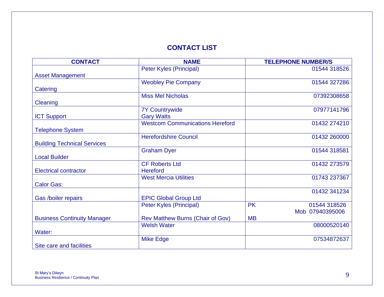### **CONTACT LIST**

| <b>CONTACT</b>                     | <b>NAME</b>                             | <b>TELEPHONE NUMBER/S</b> |
|------------------------------------|-----------------------------------------|---------------------------|
|                                    | Peter Kyles (Principal)                 | 01544 318526              |
| <b>Asset Management</b>            |                                         |                           |
|                                    | <b>Weobley Pie Company</b>              | 01544 327286              |
| Catering                           |                                         |                           |
|                                    | <b>Miss Mel Nicholas</b>                | 07392308658               |
| Cleaning                           |                                         |                           |
|                                    | <b>7Y Countrywide</b>                   | 07977141796               |
| <b>ICT Support</b>                 | <b>Gary Watts</b>                       |                           |
|                                    | <b>Westcom Communications Hereford</b>  | 01432 274210              |
| <b>Telephone System</b>            |                                         |                           |
|                                    | <b>Herefordshire Council</b>            | 01432 260000              |
| <b>Building Technical Services</b> |                                         |                           |
|                                    | <b>Graham Dyer</b>                      | 01544 318581              |
| <b>Local Builder</b>               |                                         |                           |
|                                    | <b>CF Roberts Ltd</b>                   | 01432 273579              |
| <b>Electrical contractor</b>       | Hereford                                |                           |
|                                    | <b>West Mercia Utilities</b>            | 01743 237367              |
| <b>Calor Gas:</b>                  |                                         |                           |
|                                    |                                         | 01432 341234              |
| Gas /boiler repairs                | <b>EPIC Global Group Ltd</b>            |                           |
|                                    | Peter Kyles (Principal)                 | <b>PK</b><br>01544 318526 |
|                                    |                                         | Mob 07940395006           |
| <b>Business Continuity Manager</b> | <b>Rev Matthew Burns (Chair of Gov)</b> | <b>MB</b>                 |
|                                    | <b>Welsh Water</b>                      | 08000520140               |
| Water:                             |                                         |                           |
|                                    | <b>Mike Edge</b>                        | 07534872637               |
| Site care and facilities           |                                         |                           |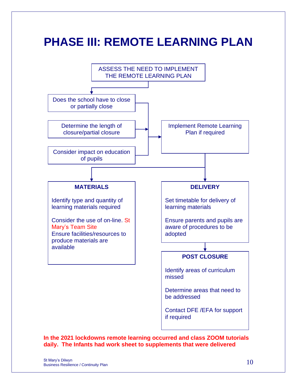### **PHASE III: REMOTE LEARNING PLAN**

![](_page_9_Figure_1.jpeg)

**In the 2021 lockdowns remote learning occurred and class ZOOM tutorials daily. The Infants had work sheet to supplements that were delivered**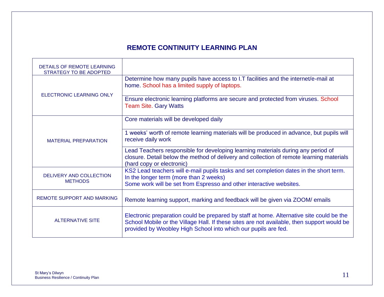### **REMOTE CONTINUITY LEARNING PLAN**

| DETAILS OF REMOTE LEARNING<br>STRATEGY TO BE ADOPTED |                                                                                                                                                                                                                                                          |
|------------------------------------------------------|----------------------------------------------------------------------------------------------------------------------------------------------------------------------------------------------------------------------------------------------------------|
|                                                      | Determine how many pupils have access to I.T facilities and the internet/e-mail at<br>home. School has a limited supply of laptops.                                                                                                                      |
| <b>ELECTRONIC LEARNING ONLY</b>                      | Ensure electronic learning platforms are secure and protected from viruses. School<br><b>Team Site. Gary Watts</b>                                                                                                                                       |
|                                                      | Core materials will be developed daily                                                                                                                                                                                                                   |
| <b>MATERIAL PREPARATION</b>                          | 1 weeks' worth of remote learning materials will be produced in advance, but pupils will<br>receive daily work                                                                                                                                           |
|                                                      | Lead Teachers responsible for developing learning materials during any period of<br>closure. Detail below the method of delivery and collection of remote learning materials<br>(hard copy or electronic)                                                |
| DELIVERY AND COLLECTION<br><b>METHODS</b>            | KS2 Lead teachers will e-mail pupils tasks and set completion dates in the short term.<br>In the longer term (more than 2 weeks)                                                                                                                         |
|                                                      | Some work will be set from Espresso and other interactive websites.                                                                                                                                                                                      |
| <b>REMOTE SUPPORT AND MARKING</b>                    | Remote learning support, marking and feedback will be given via ZOOM/ emails                                                                                                                                                                             |
| <b>ALTERNATIVE SITE</b>                              | Electronic preparation could be prepared by staff at home. Alternative site could be the<br>School Mobile or the Village Hall. If these sites are not available, then support would be<br>provided by Weobley High School into which our pupils are fed. |